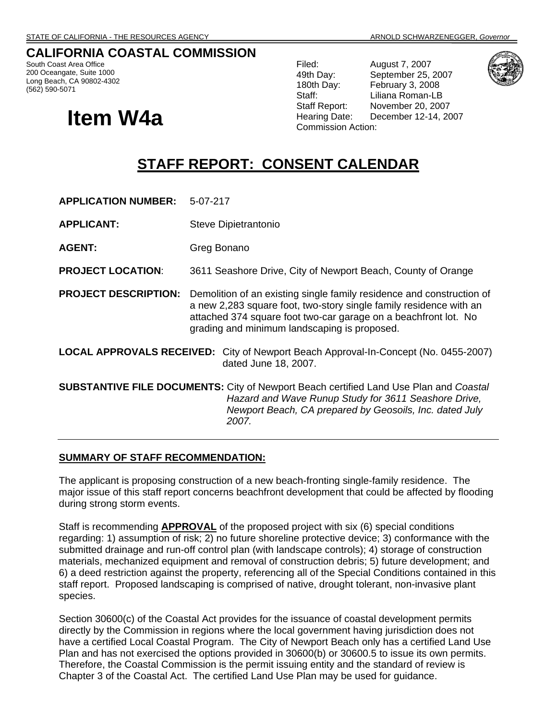## **CALIFORNIA COASTAL COMMISSION**

South Coast Area Office 200 Oceangate, Suite 1000 Long Beach, CA 90802-4302 (562) 590-5071

# **Item W4a** Hearing Date: Disconnission Action:

Filed: August 7, 2007 49th Day: September 25, 2007 180th Day: February 3, 2008 Staff: Liliana Roman-LB Staff Report: November 20, 2007 Hearing Date: December 12-14, 2007



## **STAFF REPORT: CONSENT CALENDAR**

**APPLICATION NUMBER:** 5-07-217

**APPLICANT:** Steve Dipietrantonio

AGENT: Greg Bonano

**PROJECT LOCATION**: 3611 Seashore Drive, City of Newport Beach, County of Orange

- **PROJECT DESCRIPTION:** Demolition of an existing single family residence and construction of a new 2,283 square foot, two-story single family residence with an attached 374 square foot two-car garage on a beachfront lot. No grading and minimum landscaping is proposed.
- **LOCAL APPROVALS RECEIVED:** City of Newport Beach Approval-In-Concept (No. 0455-2007) dated June 18, 2007.

**SUBSTANTIVE FILE DOCUMENTS:** City of Newport Beach certified Land Use Plan and *Coastal Hazard and Wave Runup Study for 3611 Seashore Drive, Newport Beach, CA prepared by Geosoils, Inc. dated July 2007.* 

#### **SUMMARY OF STAFF RECOMMENDATION:**

The applicant is proposing construction of a new beach-fronting single-family residence. The major issue of this staff report concerns beachfront development that could be affected by flooding during strong storm events.

Staff is recommending **APPROVAL** of the proposed project with six (6) special conditions regarding: 1) assumption of risk; 2) no future shoreline protective device; 3) conformance with the submitted drainage and run-off control plan (with landscape controls); 4) storage of construction materials, mechanized equipment and removal of construction debris; 5) future development; and 6) a deed restriction against the property, referencing all of the Special Conditions contained in this staff report. Proposed landscaping is comprised of native, drought tolerant, non-invasive plant species.

Section 30600(c) of the Coastal Act provides for the issuance of coastal development permits directly by the Commission in regions where the local government having jurisdiction does not have a certified Local Coastal Program. The City of Newport Beach only has a certified Land Use Plan and has not exercised the options provided in 30600(b) or 30600.5 to issue its own permits. Therefore, the Coastal Commission is the permit issuing entity and the standard of review is Chapter 3 of the Coastal Act. The certified Land Use Plan may be used for guidance.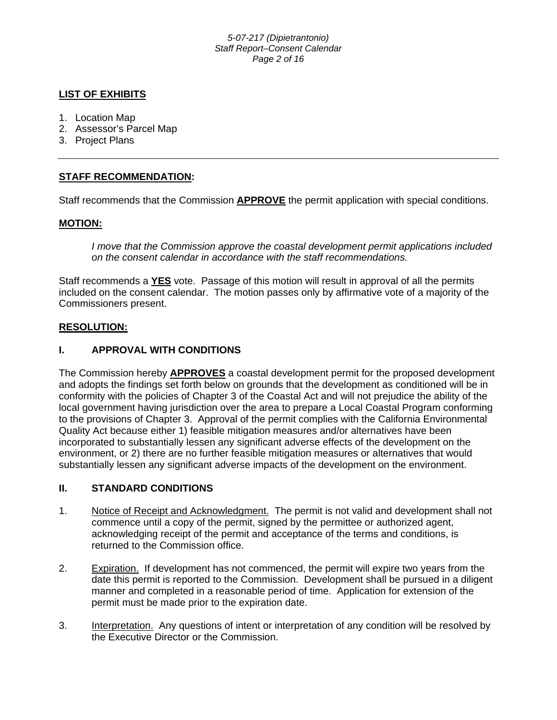#### *5-07-217 (Dipietrantonio) Staff Report–Consent Calendar Page 2 of 16*

## **LIST OF EXHIBITS**

- 1. Location Map
- 2. Assessor's Parcel Map
- 3. Project Plans

## **STAFF RECOMMENDATION:**

Staff recommends that the Commission **APPROVE** the permit application with special conditions.

## **MOTION:**

*I move that the Commission approve the coastal development permit applications included on the consent calendar in accordance with the staff recommendations.*

Staff recommends a **YES** vote. Passage of this motion will result in approval of all the permits included on the consent calendar. The motion passes only by affirmative vote of a majority of the Commissioners present.

## **RESOLUTION:**

## **I. APPROVAL WITH CONDITIONS**

The Commission hereby **APPROVES** a coastal development permit for the proposed development and adopts the findings set forth below on grounds that the development as conditioned will be in conformity with the policies of Chapter 3 of the Coastal Act and will not prejudice the ability of the local government having jurisdiction over the area to prepare a Local Coastal Program conforming to the provisions of Chapter 3. Approval of the permit complies with the California Environmental Quality Act because either 1) feasible mitigation measures and/or alternatives have been incorporated to substantially lessen any significant adverse effects of the development on the environment, or 2) there are no further feasible mitigation measures or alternatives that would substantially lessen any significant adverse impacts of the development on the environment.

## **II. STANDARD CONDITIONS**

- 1. Notice of Receipt and Acknowledgment. The permit is not valid and development shall not commence until a copy of the permit, signed by the permittee or authorized agent, acknowledging receipt of the permit and acceptance of the terms and conditions, is returned to the Commission office.
- 2. Expiration. If development has not commenced, the permit will expire two years from the date this permit is reported to the Commission. Development shall be pursued in a diligent manner and completed in a reasonable period of time. Application for extension of the permit must be made prior to the expiration date.
- 3. Interpretation. Any questions of intent or interpretation of any condition will be resolved by the Executive Director or the Commission.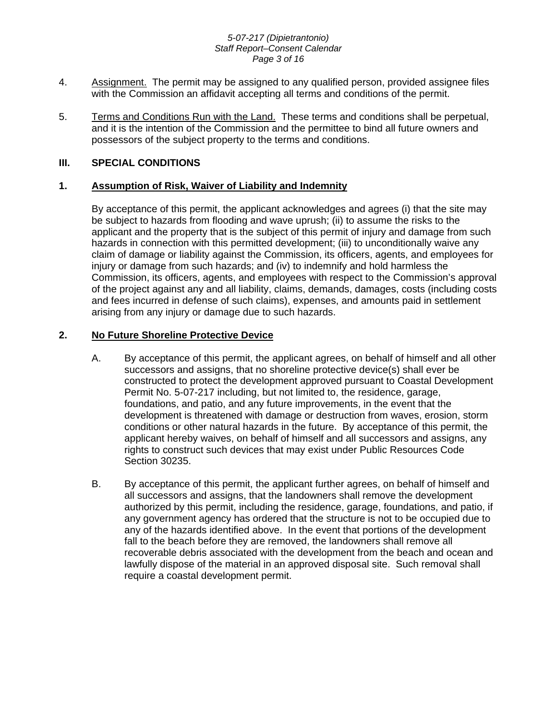#### *5-07-217 (Dipietrantonio) Staff Report–Consent Calendar Page 3 of 16*

- 4. Assignment. The permit may be assigned to any qualified person, provided assignee files with the Commission an affidavit accepting all terms and conditions of the permit.
- 5. Terms and Conditions Run with the Land. These terms and conditions shall be perpetual, and it is the intention of the Commission and the permittee to bind all future owners and possessors of the subject property to the terms and conditions.

## **III. SPECIAL CONDITIONS**

## **1. Assumption of Risk, Waiver of Liability and Indemnity**

By acceptance of this permit, the applicant acknowledges and agrees (i) that the site may be subject to hazards from flooding and wave uprush; (ii) to assume the risks to the applicant and the property that is the subject of this permit of injury and damage from such hazards in connection with this permitted development; (iii) to unconditionally waive any claim of damage or liability against the Commission, its officers, agents, and employees for injury or damage from such hazards; and (iv) to indemnify and hold harmless the Commission, its officers, agents, and employees with respect to the Commission's approval of the project against any and all liability, claims, demands, damages, costs (including costs and fees incurred in defense of such claims), expenses, and amounts paid in settlement arising from any injury or damage due to such hazards.

## **2. No Future Shoreline Protective Device**

- A. By acceptance of this permit, the applicant agrees, on behalf of himself and all other successors and assigns, that no shoreline protective device(s) shall ever be constructed to protect the development approved pursuant to Coastal Development Permit No. 5-07-217 including, but not limited to, the residence, garage, foundations, and patio, and any future improvements, in the event that the development is threatened with damage or destruction from waves, erosion, storm conditions or other natural hazards in the future. By acceptance of this permit, the applicant hereby waives, on behalf of himself and all successors and assigns, any rights to construct such devices that may exist under Public Resources Code Section 30235.
- B. By acceptance of this permit, the applicant further agrees, on behalf of himself and all successors and assigns, that the landowners shall remove the development authorized by this permit, including the residence, garage, foundations, and patio, if any government agency has ordered that the structure is not to be occupied due to any of the hazards identified above. In the event that portions of the development fall to the beach before they are removed, the landowners shall remove all recoverable debris associated with the development from the beach and ocean and lawfully dispose of the material in an approved disposal site. Such removal shall require a coastal development permit.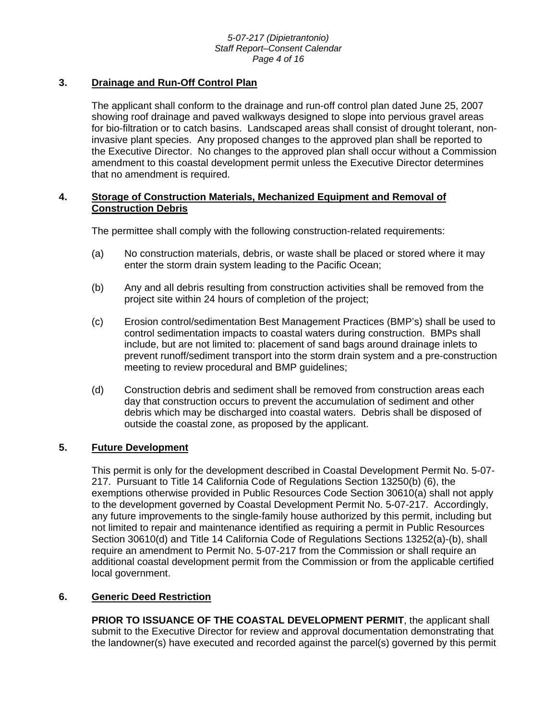#### *5-07-217 (Dipietrantonio) Staff Report–Consent Calendar Page 4 of 16*

## **3. Drainage and Run-Off Control Plan**

The applicant shall conform to the drainage and run-off control plan dated June 25, 2007 showing roof drainage and paved walkways designed to slope into pervious gravel areas for bio-filtration or to catch basins. Landscaped areas shall consist of drought tolerant, noninvasive plant species. Any proposed changes to the approved plan shall be reported to the Executive Director. No changes to the approved plan shall occur without a Commission amendment to this coastal development permit unless the Executive Director determines that no amendment is required.

### **4. Storage of Construction Materials, Mechanized Equipment and Removal of Construction Debris**

The permittee shall comply with the following construction-related requirements:

- (a) No construction materials, debris, or waste shall be placed or stored where it may enter the storm drain system leading to the Pacific Ocean;
- (b) Any and all debris resulting from construction activities shall be removed from the project site within 24 hours of completion of the project;
- (c) Erosion control/sedimentation Best Management Practices (BMP's) shall be used to control sedimentation impacts to coastal waters during construction. BMPs shall include, but are not limited to: placement of sand bags around drainage inlets to prevent runoff/sediment transport into the storm drain system and a pre-construction meeting to review procedural and BMP guidelines;
- (d) Construction debris and sediment shall be removed from construction areas each day that construction occurs to prevent the accumulation of sediment and other debris which may be discharged into coastal waters. Debris shall be disposed of outside the coastal zone, as proposed by the applicant.

## **5. Future Development**

This permit is only for the development described in Coastal Development Permit No. 5-07- 217. Pursuant to Title 14 California Code of Regulations Section 13250(b) (6), the exemptions otherwise provided in Public Resources Code Section 30610(a) shall not apply to the development governed by Coastal Development Permit No. 5-07-217. Accordingly, any future improvements to the single-family house authorized by this permit, including but not limited to repair and maintenance identified as requiring a permit in Public Resources Section 30610(d) and Title 14 California Code of Regulations Sections 13252(a)-(b), shall require an amendment to Permit No. 5-07-217 from the Commission or shall require an additional coastal development permit from the Commission or from the applicable certified local government.

## **6. Generic Deed Restriction**

**PRIOR TO ISSUANCE OF THE COASTAL DEVELOPMENT PERMIT**, the applicant shall submit to the Executive Director for review and approval documentation demonstrating that the landowner(s) have executed and recorded against the parcel(s) governed by this permit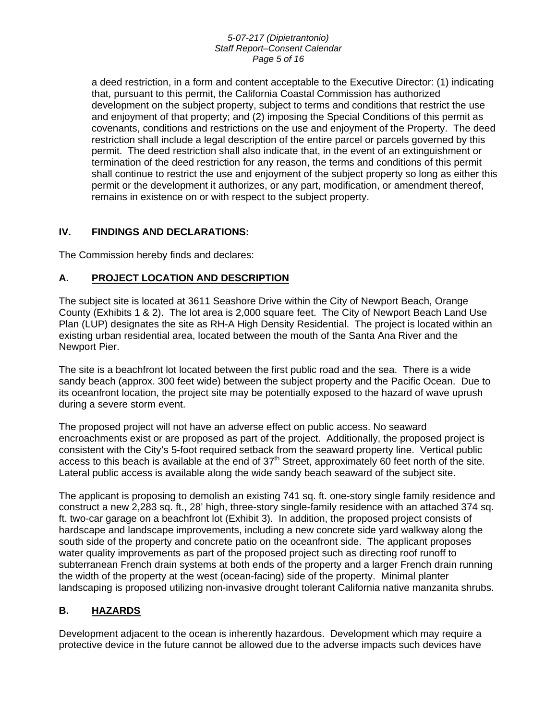#### *5-07-217 (Dipietrantonio) Staff Report–Consent Calendar Page 5 of 16*

a deed restriction, in a form and content acceptable to the Executive Director: (1) indicating that, pursuant to this permit, the California Coastal Commission has authorized development on the subject property, subject to terms and conditions that restrict the use and enjoyment of that property; and (2) imposing the Special Conditions of this permit as covenants, conditions and restrictions on the use and enjoyment of the Property. The deed restriction shall include a legal description of the entire parcel or parcels governed by this permit. The deed restriction shall also indicate that, in the event of an extinguishment or termination of the deed restriction for any reason, the terms and conditions of this permit shall continue to restrict the use and enjoyment of the subject property so long as either this permit or the development it authorizes, or any part, modification, or amendment thereof, remains in existence on or with respect to the subject property.

## **IV. FINDINGS AND DECLARATIONS:**

The Commission hereby finds and declares:

## **A. PROJECT LOCATION AND DESCRIPTION**

The subject site is located at 3611 Seashore Drive within the City of Newport Beach, Orange County (Exhibits 1 & 2). The lot area is 2,000 square feet. The City of Newport Beach Land Use Plan (LUP) designates the site as RH-A High Density Residential. The project is located within an existing urban residential area, located between the mouth of the Santa Ana River and the Newport Pier.

The site is a beachfront lot located between the first public road and the sea. There is a wide sandy beach (approx. 300 feet wide) between the subject property and the Pacific Ocean. Due to its oceanfront location, the project site may be potentially exposed to the hazard of wave uprush during a severe storm event.

The proposed project will not have an adverse effect on public access. No seaward encroachments exist or are proposed as part of the project. Additionally, the proposed project is consistent with the City's 5-foot required setback from the seaward property line. Vertical public access to this beach is available at the end of  $37<sup>th</sup>$  Street, approximately 60 feet north of the site. Lateral public access is available along the wide sandy beach seaward of the subject site.

The applicant is proposing to demolish an existing 741 sq. ft. one-story single family residence and construct a new 2,283 sq. ft., 28' high, three-story single-family residence with an attached 374 sq. ft. two-car garage on a beachfront lot (Exhibit 3). In addition, the proposed project consists of hardscape and landscape improvements, including a new concrete side yard walkway along the south side of the property and concrete patio on the oceanfront side. The applicant proposes water quality improvements as part of the proposed project such as directing roof runoff to subterranean French drain systems at both ends of the property and a larger French drain running the width of the property at the west (ocean-facing) side of the property. Minimal planter landscaping is proposed utilizing non-invasive drought tolerant California native manzanita shrubs.

## **B. HAZARDS**

Development adjacent to the ocean is inherently hazardous. Development which may require a protective device in the future cannot be allowed due to the adverse impacts such devices have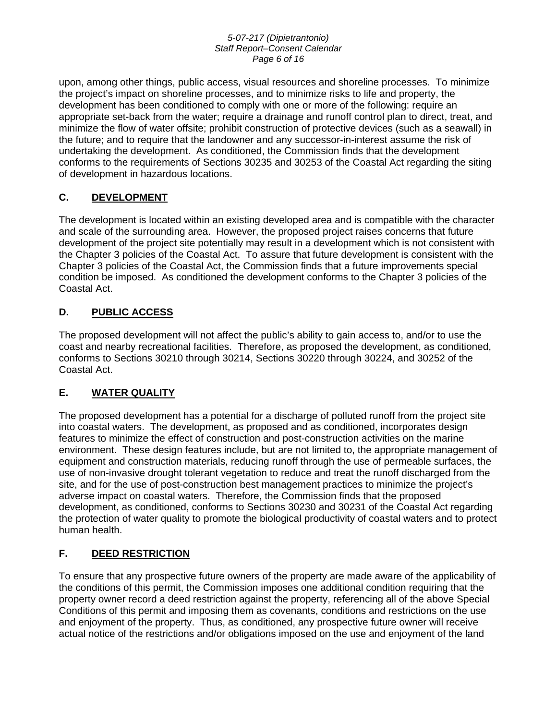#### *5-07-217 (Dipietrantonio) Staff Report–Consent Calendar Page 6 of 16*

upon, among other things, public access, visual resources and shoreline processes. To minimize the project's impact on shoreline processes, and to minimize risks to life and property, the development has been conditioned to comply with one or more of the following: require an appropriate set-back from the water; require a drainage and runoff control plan to direct, treat, and minimize the flow of water offsite; prohibit construction of protective devices (such as a seawall) in the future; and to require that the landowner and any successor-in-interest assume the risk of undertaking the development. As conditioned, the Commission finds that the development conforms to the requirements of Sections 30235 and 30253 of the Coastal Act regarding the siting of development in hazardous locations.

## **C. DEVELOPMENT**

The development is located within an existing developed area and is compatible with the character and scale of the surrounding area. However, the proposed project raises concerns that future development of the project site potentially may result in a development which is not consistent with the Chapter 3 policies of the Coastal Act. To assure that future development is consistent with the Chapter 3 policies of the Coastal Act, the Commission finds that a future improvements special condition be imposed. As conditioned the development conforms to the Chapter 3 policies of the Coastal Act.

## **D. PUBLIC ACCESS**

The proposed development will not affect the public's ability to gain access to, and/or to use the coast and nearby recreational facilities. Therefore, as proposed the development, as conditioned, conforms to Sections 30210 through 30214, Sections 30220 through 30224, and 30252 of the Coastal Act.

## **E. WATER QUALITY**

The proposed development has a potential for a discharge of polluted runoff from the project site into coastal waters. The development, as proposed and as conditioned, incorporates design features to minimize the effect of construction and post-construction activities on the marine environment. These design features include, but are not limited to, the appropriate management of equipment and construction materials, reducing runoff through the use of permeable surfaces, the use of non-invasive drought tolerant vegetation to reduce and treat the runoff discharged from the site, and for the use of post-construction best management practices to minimize the project's adverse impact on coastal waters. Therefore, the Commission finds that the proposed development, as conditioned, conforms to Sections 30230 and 30231 of the Coastal Act regarding the protection of water quality to promote the biological productivity of coastal waters and to protect human health.

## **F. DEED RESTRICTION**

To ensure that any prospective future owners of the property are made aware of the applicability of the conditions of this permit, the Commission imposes one additional condition requiring that the property owner record a deed restriction against the property, referencing all of the above Special Conditions of this permit and imposing them as covenants, conditions and restrictions on the use and enjoyment of the property. Thus, as conditioned, any prospective future owner will receive actual notice of the restrictions and/or obligations imposed on the use and enjoyment of the land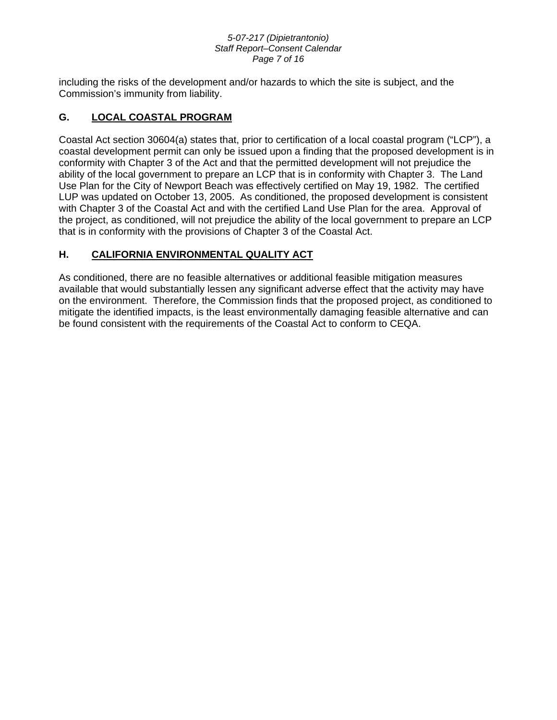#### *5-07-217 (Dipietrantonio) Staff Report–Consent Calendar Page 7 of 16*

including the risks of the development and/or hazards to which the site is subject, and the Commission's immunity from liability.

## **G. LOCAL COASTAL PROGRAM**

Coastal Act section 30604(a) states that, prior to certification of a local coastal program ("LCP"), a coastal development permit can only be issued upon a finding that the proposed development is in conformity with Chapter 3 of the Act and that the permitted development will not prejudice the ability of the local government to prepare an LCP that is in conformity with Chapter 3. The Land Use Plan for the City of Newport Beach was effectively certified on May 19, 1982. The certified LUP was updated on October 13, 2005. As conditioned, the proposed development is consistent with Chapter 3 of the Coastal Act and with the certified Land Use Plan for the area. Approval of the project, as conditioned, will not prejudice the ability of the local government to prepare an LCP that is in conformity with the provisions of Chapter 3 of the Coastal Act.

## **H. CALIFORNIA ENVIRONMENTAL QUALITY ACT**

As conditioned, there are no feasible alternatives or additional feasible mitigation measures available that would substantially lessen any significant adverse effect that the activity may have on the environment. Therefore, the Commission finds that the proposed project, as conditioned to mitigate the identified impacts, is the least environmentally damaging feasible alternative and can be found consistent with the requirements of the Coastal Act to conform to CEQA.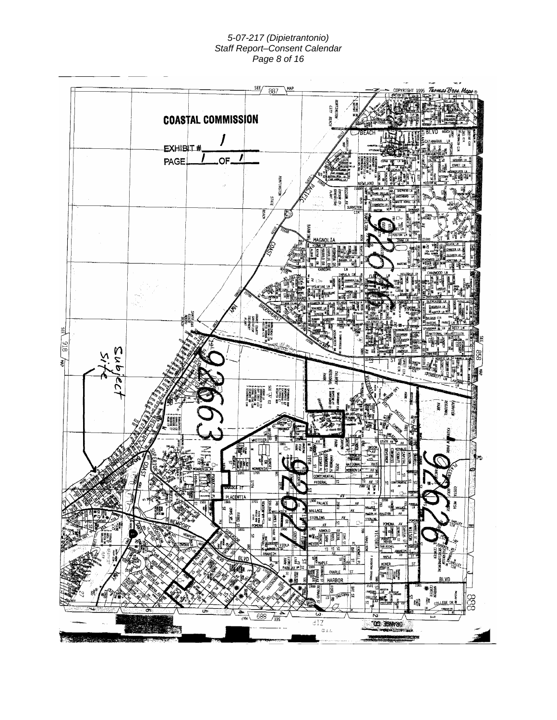#### *5-07-217 (Dipietrantonio) Staff Report–Consent Calendar Page 8 of 16*

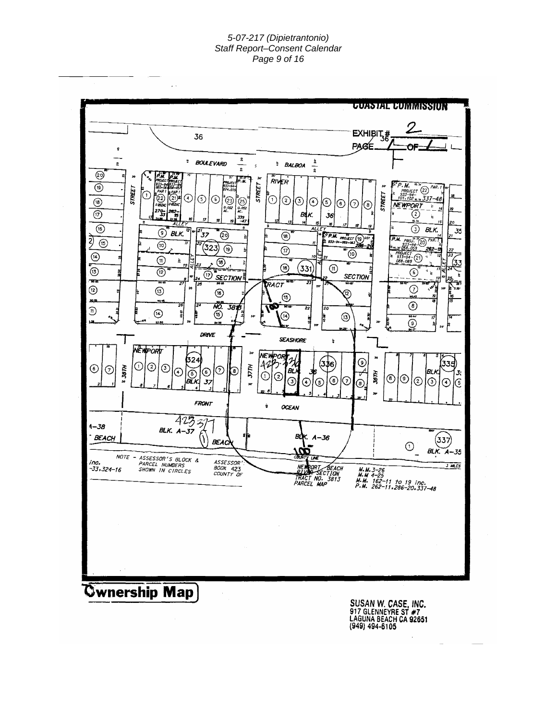#### *5-07-217 (Dipietrantonio) Staff Report–Consent Calendar Page 9 of 16*



**Cwnership Map** 

**SUSAN W. CASE, INC.<br>917 GLENNEYRE ST #7<br>LAGUNA BEACH CA 92651**<br>(949) 494-6105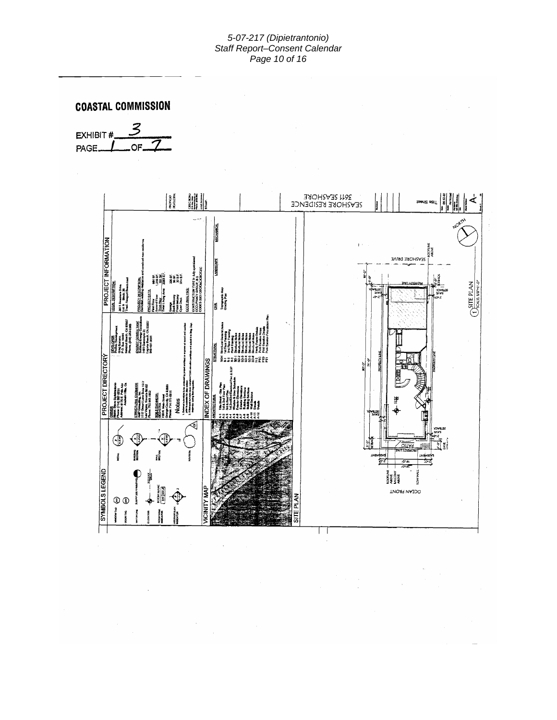#### *5-07-217 (Dipietrantonio) Staff Report–Consent Calendar Page 10 of 16*

 $\bar{z}$ 





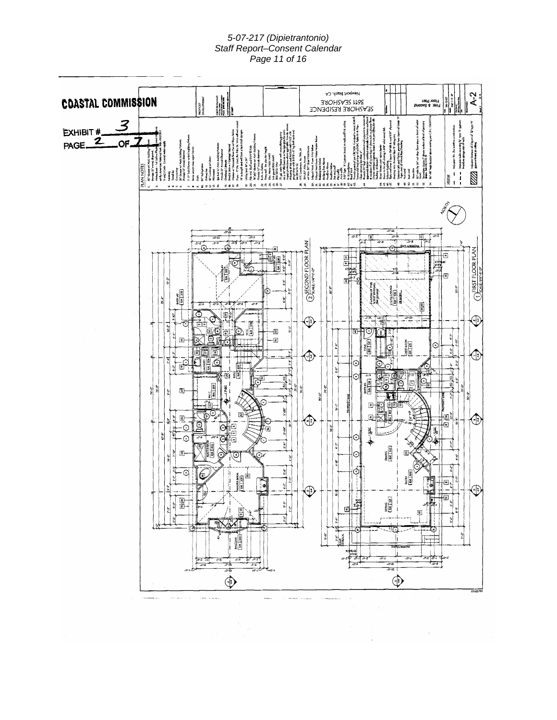#### *5-07-217 (Dipietrantonio) Staff Report–Consent Calendar Page 11 of 16*

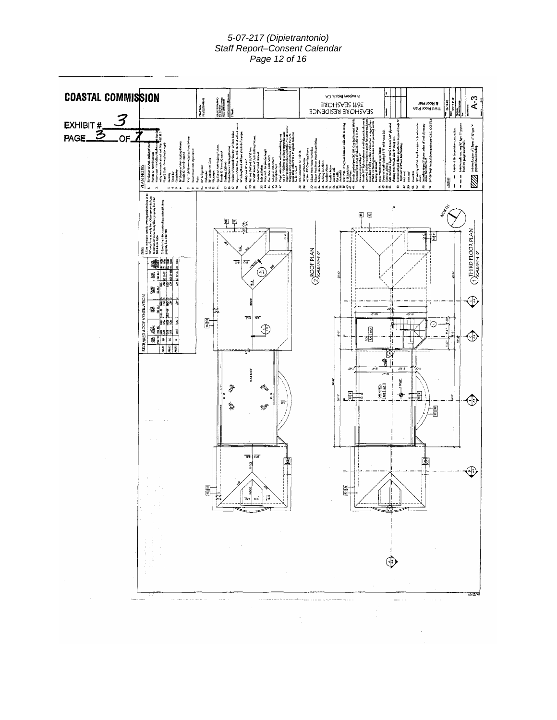#### *5-07-217 (Dipietrantonio) Staff Report–Consent Calendar Page 12 of 16*

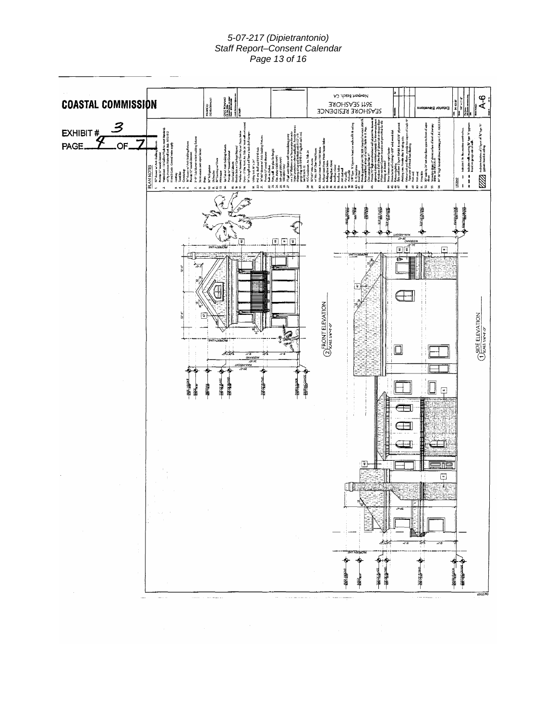#### *5-07-217 (Dipietrantonio) Staff Report–Consent Calendar Page 13 of 16*

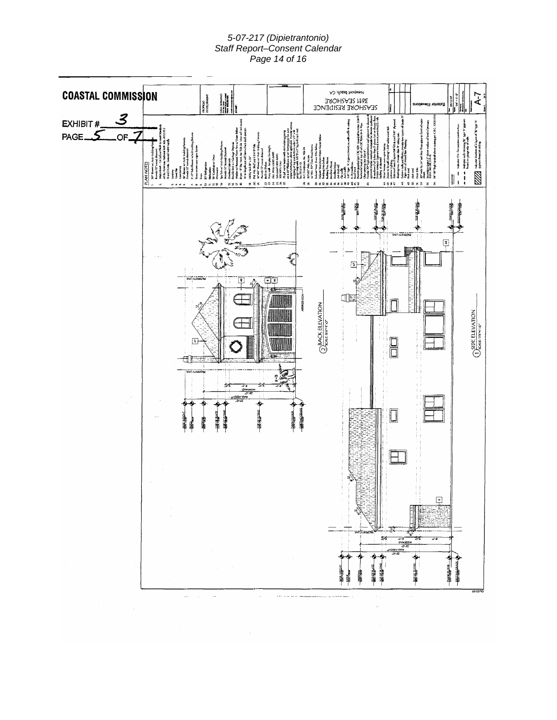#### *5-07-217 (Dipietrantonio) Staff Report–Consent Calendar Page 14 of 16*

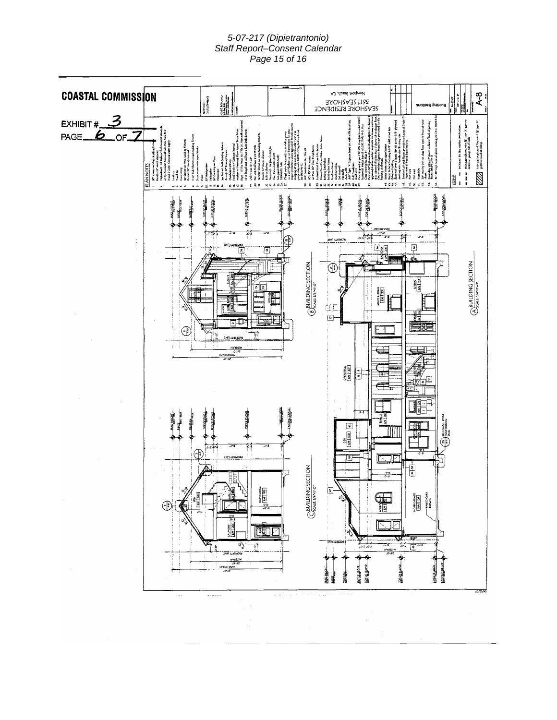#### *5-07-217 (Dipietrantonio) Staff Report–Consent Calendar Page 15 of 16*